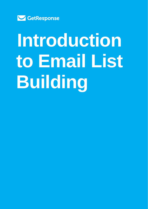

# **Introduction to Email List Building**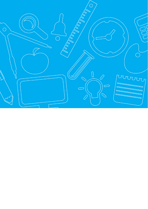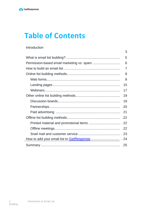## **Table of Contents**

#### Introduction

| 3  |
|----|
| 5  |
| 6  |
| 7  |
| 8  |
| 8  |
| 15 |
| 17 |
| 19 |
| 19 |
|    |
| 21 |
|    |
|    |
|    |
|    |
|    |
|    |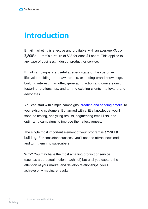## **Introduction**

Email marketing is effective and profitable, with an average ROI of 3,800% — that's a return of \$38 for each \$1 spent. This applies to any type of business, industry, product, or service.

Email campaigns are useful at every stage of the customer lifecycle: building brand awareness, extending brand knowledge, building interest in an offer, generating action and conversions, fostering relationships, and turning existing clients into loyal brand advocates.

You can start with simple campaigns: [creating and sending emails](https://www.getresponse.com/newsletter-templates?a=rK6aEw3vtF&c=deeplink) to your existing customers. But armed with a little knowledge, you'll soon be testing, analyzing results, segmenting email lists, and optimizing campaigns to improve their effectiveness.

The single most important element of your program is email list building. For consistent success, you'll need to attract new leads and turn them into subscribers.

Why? You may have the most amazing product or service (such as a perpetual motion machine!) but until you capture the attention of your market and develop relationships, you'll achieve only mediocre results.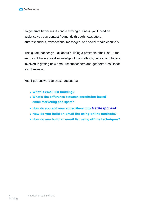To generate better results and a thriving business, you'll need an audience you can contact frequently through newsletters, autoresponders, transactional messages, and social media channels.

This guide teaches you all about building a profitable email list. At the end, you'll have a solid knowledge of the methods, tactics, and factors involved in getting new email list subscribers and get better results for your business.

You'll get answers to these questions:

- **What is email list building?**
- **What's the difference between permission-based email marketing and spam?**
- **How do you add your subscribers into [GetResponse](https://www.getresponse.com/?a=rK6aEw3vtF)?**
- **How do you build an email list using online methods?**
- **How do you build an email list using offline techniques?**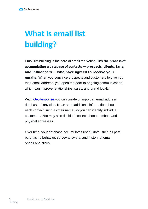# **What is email list building?**

Email list building is the core of email marketing. **It's the process of accumulating a database of contacts — prospects, clients, fans, and influencers — who have agreed to receive your emails.** When you convince prospects and customers to give you their email address, you open the door to ongoing communication, which can improve relationships, sales, and brand loyalty.

With [GetResponse](https://www.getresponse.com/?a=rK6aEw3vtF) you can create or import an email address database of any size. It can store additional information about each contact, such as their name, so you can identify individual customers. You may also decide to collect phone numbers and physical addresses.

Over time, your database accumulates useful data, such as past purchasing behavior, survey answers, and history of email opens and clicks.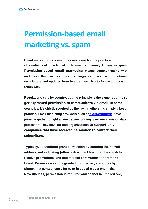## **Permission-based email marketing vs. spam**

**Email marketing is sometimes mistaken for the practice of sending out unsolicited bulk email, commonly known as spam. Permission-based email marketing means communicating with audiences that have expressed willingness to receive promotional newsletters and updates from brands they wish to follow and stay in touch with.**

**Regulations vary by country, but the principle is the same: you must get expressed permission to communicate via email. In some countries, it's strictly required by the law; in others it's simply a best practice. Email marketing providers such as [GetResponse](https://www.getresponse.com/?a=rK6aEw3vtF) have joined together to fight against spam, putting great emphasis on data protection. They have formed organizations to support only companies that have received permission to contact their subscribers.**

**Typically, subscribers grant permission by entering their email address and indicating (often with a checkbox) that they wish to receive promotional and commercial communication from the brand. Permission can be granted in other ways, such as by phone, in a contest entry form, or in social media channels. Nevertheless, permission is required and cannot be implied only.**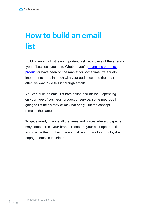## **How to build an email list**

Building an email list is an important task regardless of the size and type of business you're in. Whether you're [launching your first](https://www.getresponse.com/?a=rK6aEw3vtF) [product](https://blog.getresponse.com/promote-new-product-using-email-marketing.html) or have been on the market for some time, it's equally important to keep in touch with your audience, and the most effective way to do this is through emails.

You can build an email list both online and offline. Depending on your type of business, product or service, some methods I'm going to list below may or may not apply. But the concept remains the same.

To get started, imagine all the times and places where prospects may come across your brand. Those are your best opportunities to convince them to become not just random visitors, but loyal and engaged email subscribers.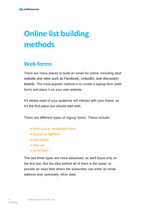## **Online list building methods**

#### **Web forms**

There are many places to build an email list online, including your website and sites such as Facebook, LinkedIn, and discussion boards. The most popular method is to create a signup form (web form) and place it on your own website.

It's where most of your audience will interact with your brand, so it's the first place you should start with.

There are different types of signup forms. These include:

- inline a.k.a. embedded form
- popup or lightbox
- exit popup
- fixed bar
- scroll form

The last three types are more advanced, so we'll focus only on the first two. But the idea behind all of them is the same: to provide an input field where the subscriber can enter an email address and, optionally, other data.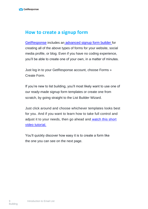#### **How to create a signup form**

[GetResponse](https://www.getresponse.com/?a=rK6aEw3vtF) includes an [advanced signup form builder](https://www.getresponse.com/features/list-building/form-builder?a=rK6aEw3vtF=deeplink) for creating all of the above types of forms for your website, social media profile, or blog. Even if you have no coding experience, you'll be able to create one of your own, in a matter of minutes.

Just log in to your GetResponse account, choose Forms » Create Form.

If you're new to list building, you'll most likely want to use one of our ready-made signup form templates or create one from scratch, by going straight to the List Builder Wizard.

Just click around and choose whichever templates looks best for you. And if you want to learn how to take full control and adjust it to your needs, then go ahead and [watch this short](https://www.getresponse.com/features/conversion-funnel?a=rK6aEw3vtF=deeplink)  [video tutorial.](http://www.youtube.com/SbH78X_AiGc)

You'll quickly discover how easy it is to create a form like the one you can see on the next page.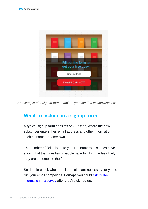



*An example of a signup form template you can find in GetResponse*

#### **What to include in a signup form**

A typical signup form consists of 2-3 fields, where the new subscriber enters their email address and other information, such as name or hometown.

The number of fields is up to you. But numerous studies have shown that the more fields people have to fill in, the less likely they are to complete the form.

So double-check whether all the fields are necessary for you to run your email campaigns. Perhaps you could [ask for the](https://blog.getresponse.com/the-hidden-power-of-the-survey-email?a=rK6aEw3vtF) [information in a survey](https://blog.getresponse.com/the-hidden-power-of-the-survey-email?a=rK6aEw3vtF=deeplink) after they've signed up.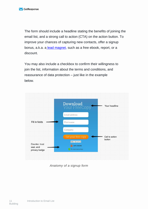The form should include a headline stating the benefits of joining the email list, and a strong call to action (CTA) on the action button. To improve your chances of capturing new contacts, offer a signup bonus, a.k.a. a [lead magnet,](https://blog.getresponse.com/19-ideas-killer-lead-magnets?a=rK6aEw3vtF=deeplink) such as a free ebook, report, or a discount.

You may also include a checkbox to confirm their willingness to join the list, information about the terms and conditions, and reassurance of data protection – just like in the example below.



*Anatomy of a signup form*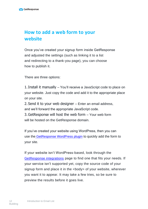#### **How to add a web form to your website**

Once you've created your signup form inside GetResponse and adjusted the settings (such as linking it to a list and redirecting to a thank-you page), you can choose how to publish it.

There are three options:

1.Install it manually – You'll receive a JavaScript code to place on your website. Just copy the code and add it to the appropriate place on your site.

2. Send it to your web designer – Enter an email address, and we'll forward the appropriate JavaScript code. 3.GetResponse will host the web form – Your web form will be hosted on the GetResponse domain.

If you've created your website using WordPress, then you can use the [GetResponse WordPress plugin](https://connect.getresponse.com/integration/wordpress-integration?a=rK6aEw3vtF=deeplink) to quickly add the form to your site.

If your website isn't WordPress-based, look through the [GetResponse integrations](http://connect.getresponse.com/?a=rK6aEw3vtF=deeplink) page to find one that fits your needs. If your service isn't supported yet, copy the source code of your signup form and place it in the <body> of your website, wherever you want it to appear. It may take a few tries, so be sure to preview the results before it goes live.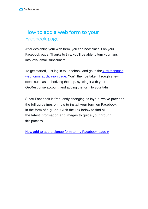#### How to add a web form to your Facebook page

After designing your web form, you can now place it on your Facebook page. Thanks to this, you'll be able to turn your fans into loyal email subscribers.

To get started, just log in to Facebook and go to the [GetResponse](https://apps.facebook.com/getresponse_webforms/) [web forms application page.](https://apps.facebook.com/getresponse_webforms/?a=rK6aEw3vtF=deeplink) You'll then be taken through a few steps such as authorizing the app, syncing it with your GetResponse account, and adding the form to your tabs.

Since Facebook is frequently changing its layout, we've provided the full guidelines on how to install your form on Facebook in the form of a guide. Click the link below to find all the latest information and images to guide you through this process:

[How add to add a signup form to my Facebook page »](https://support.getresponse.com/faq/how-can-i-capture-new-subscribers-facebook-fan-page?a=rK6aEw3vtF=deeplink)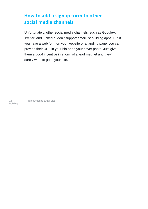#### **How to add a signup form to other social media channels**

Unfortunately, other social media channels, such as Google+, Twitter, and LinkedIn, don't support email list building apps. But if you have a web form on your website or a landing page, you can provide their URL in your bio or on your cover photo. Just give them a good incentive in a form of a lead magnet and they'll surely want to go to your site.

Building

14 **Introduction to Email List**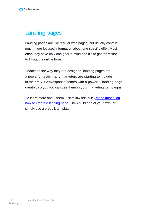#### Landing pages

Landing pages are like regular web pages, but usually contain much more focused information about one specific offer. Most often they have only one goal in mind and it's to get the visitor to fill out the online form.

Thanks to the way they are designed, landing pages are a powerful tactic many marketers are starting to include in their mix. GetResponse comes with a powerful landing page creator, so you too can use them in your marketing campaigns.

To learn more about them, just follow this quick [video tutorial on](https://support.getresponse.com/videos/create-landing-pages?a=rK6aEw3vtF) [how to create a landing page.](https://support.getresponse.com/videos/create-landing-pages?a=rK6aEw3vtF=deeplink) Then build one of your own, or simply use a prebuilt template.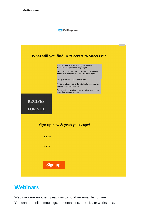GetResponse



#### **Webinars**

Webinars are another great way to build an email list online. You can run online meetings, presentations, 1-on-1s, or workshops,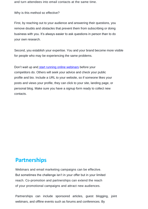and turn attendees into email contacts at the same time.

Why is this method so effective?

First, by reaching out to your audience and answering their questions, you remove doubts and obstacles that prevent them from subscribing or doing business with you. It's always easier to ask questions in person than to do your own research.

Second, you establish your expertise. You and your brand become more visible for people who may be experiencing the same problems.

Don't wait up and [start running online webinars](https://support.getresponse.com/faq/how-do-i-create-a-webinar?a=rK6aEw3vtF=deeplink) before your competitors do. Others will seek your advice and check your public profile and bio. Include a URL to your website, so if someone likes your posts and views your profile, they can click to your site, landing page, or personal blog. Make sure you have a signup form ready to collect new contacts.

#### **Partnerships**

Webinars and email marketing campaigns can be effective. But sometimes the challenge isn't in your offer but in your limited reach. Co-promotion and partnerships can extend the reach of your promotional campaigns and attract new audiences.

Partnerships can include sponsored articles, guest blogging, joint webinars, and offline events such as forums and conferences. By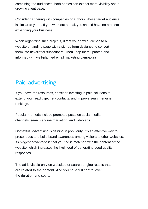combining the audiences, both parties can expect more visibility and a growing client base.

Consider partnering with companies or authors whose target audience is similar to yours. If you work out a deal, you should have no problem expanding your business.

When organizing such projects, direct your new audience to a website or landing page with a signup form designed to convert them into newsletter subscribers. Then keep them updated and informed with well-planned email marketing campaigns.

#### Paid advertising

If you have the resources, consider investing in paid solutions to extend your reach, get new contacts, and improve search engine rankings.

Popular methods include promoted posts on social media channels, search engine marketing, and video ads.

Contextual advertising is gaining in popularity. It's an effective way to present ads and build brand awareness among visitors to other websites. Its biggest advantage is that your ad is matched with the content of the website, which increases the likelihood of generating good quality responses.

The ad is visible only on websites or search engine results that are related to the content. And you have full control over the duration and costs.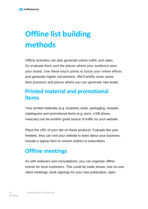# **Offline list building methods**

Offline activities can also generate online traffic and sales. So evaluate them and the places where your audience sees your brand. Use these touch points to boost your online efforts and generate higher conversions. We'll briefly cover some best practices and places where you can generate new leads.

#### **Printed material and promotional items**

Your printed materials (e.g. business cards, packaging, receipts, catalogues) and promotional items (e.g. pens, USB drives, mascots) can be another great source of traffic for your website.

Place the URL of your site on these products. If people like your freebies, they can visit your website to learn about your business. Include a signup form to convert visitors to subscribers.

#### **Offline meetings**

As with webinars and consultations, you can organize offline events for local customers. This could be trade shows, one-on-one client meetings, book signings for your new publication, open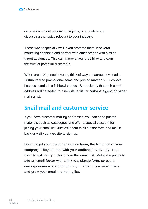discussions about upcoming projects, or a conference discussing the topics relevant to your industry.

These work especially well if you promote them in several marketing channels and partner with other brands with similar target audiences. This can improve your credibility and earn the trust of potential customers.

When organizing such events, think of ways to attract new leads. Distribute free promotional items and printed materials. Or collect business cards in a fishbowl contest. State clearly that their email address will be added to a newsletter list or perhaps a good ol' paper mailing list.

#### **Snail mail and customer service**

If you have customer mailing addresses, you can send printed materials such as catalogues and offer a special discount for joining your email list. Just ask them to fill out the form and mail it back or visit your website to sign up.

Don't forget your customer service team, the front line of your company. They interact with your audience every day. Train them to ask every caller to join the email list. Make it a policy to add an email footer with a link to a signup form, so every correspondence is an opportunity to attract new subscribers and grow your email marketing list.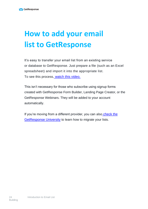## **How to add your email list to GetResponse**

It's easy to transfer your email list from an existing service or database to GetResponse. Just prepare a file (such as an Excel spreadsheet) and import it into the appropriate list. To see this process, [watch this video.](https://support.getresponse.com/faq/how-do-i-add-contacts-to-my-getresponse-account?a=rK6aEw3vtF=deeplink)

This isn't necessary for those who subscribe using signup forms created with GetResponse Form Builder, Landing Page Creator, or the GetResponse Webinars. They will be added to your account automatically.

If you're moving from a different provider, you can also check the **[GetResponse University](https://www.getresponse.com/resources/getresponse-university/guides?a=rK6aEw3vtF=deeplink) to learn how to migrate your lists.**